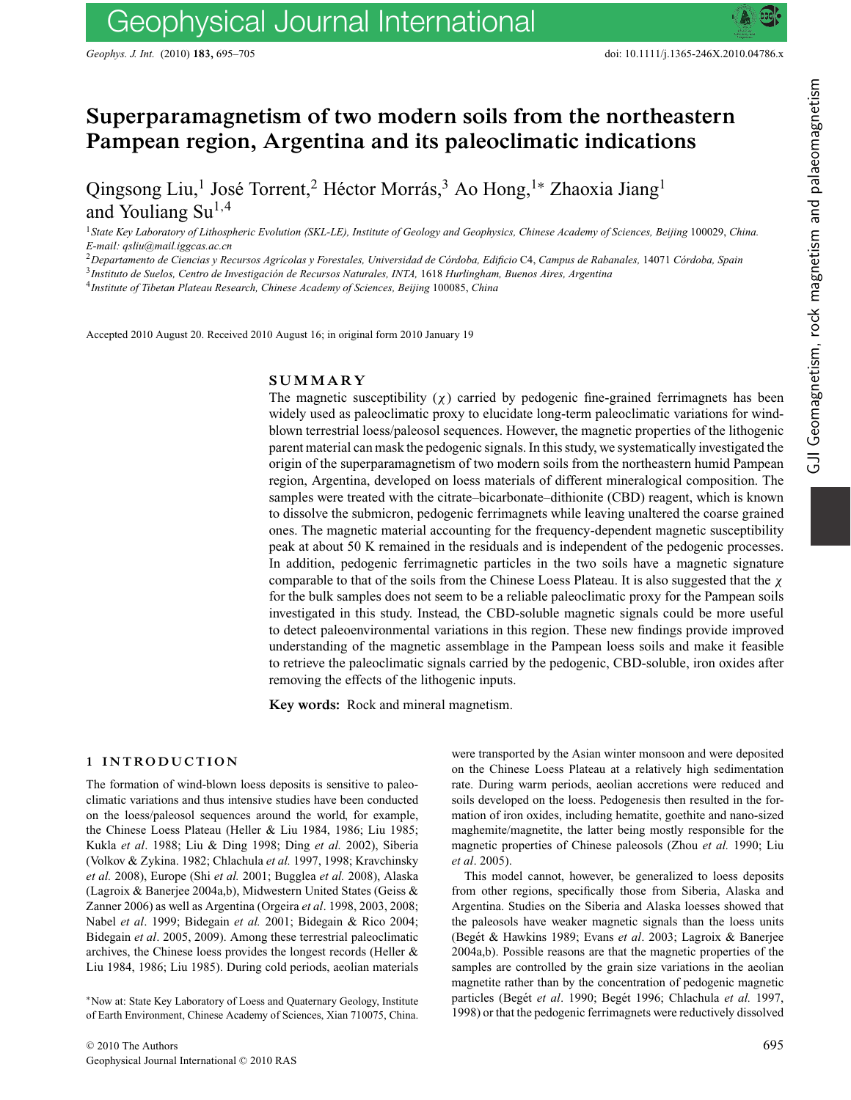# **Superparamagnetism of two modern soils from the northeastern Pampean region, Argentina and its paleoclimatic indications**

Qingsong Liu,<sup>1</sup> José Torrent,<sup>2</sup> Héctor Morrás,<sup>3</sup> Ao Hong,<sup>1</sup>\* Zhaoxia Jiang<sup>1</sup> and Youliang  $Su^{1,4}$ 

<sup>1</sup>*State Key Laboratory of Lithospheric Evolution (SKL-LE), Institute of Geology and Geophysics, Chinese Academy of Sciences, Beijing* 100029, *China. E-mail: qsliu@mail.iggcas.ac.cn*

<sup>2</sup>*Departamento de Ciencias y Recursos Agr´ıcolas y Forestales, Universidad de Cordoba, Edificio ´* C4, *Campus de Rabanales,* 14071 *Cordoba, Spain ´*

<sup>3</sup>*Instituto de Suelos, Centro de Investigacion de Recursos Naturales, INTA, ´* 1618 *Hurlingham, Buenos Aires, Argentina*

<sup>4</sup>*Institute of Tibetan Plateau Research, Chinese Academy of Sciences, Beijing* 100085, *China*

Accepted 2010 August 20. Received 2010 August 16; in original form 2010 January 19

# **SUMMARY**

The magnetic susceptibility  $(\chi)$  carried by pedogenic fine-grained ferrimagnets has been widely used as paleoclimatic proxy to elucidate long-term paleoclimatic variations for windblown terrestrial loess/paleosol sequences. However, the magnetic properties of the lithogenic parent material can mask the pedogenic signals. In this study, we systematically investigated the origin of the superparamagnetism of two modern soils from the northeastern humid Pampean region, Argentina, developed on loess materials of different mineralogical composition. The samples were treated with the citrate–bicarbonate–dithionite (CBD) reagent, which is known to dissolve the submicron, pedogenic ferrimagnets while leaving unaltered the coarse grained ones. The magnetic material accounting for the frequency-dependent magnetic susceptibility peak at about 50 K remained in the residuals and is independent of the pedogenic processes. In addition, pedogenic ferrimagnetic particles in the two soils have a magnetic signature comparable to that of the soils from the Chinese Loess Plateau. It is also suggested that the  $\chi$ for the bulk samples does not seem to be a reliable paleoclimatic proxy for the Pampean soils investigated in this study. Instead, the CBD-soluble magnetic signals could be more useful to detect paleoenvironmental variations in this region. These new findings provide improved understanding of the magnetic assemblage in the Pampean loess soils and make it feasible to retrieve the paleoclimatic signals carried by the pedogenic, CBD-soluble, iron oxides after removing the effects of the lithogenic inputs.

**Key words:** Rock and mineral magnetism.

#### **1 INTRODUCTION**

The formation of wind-blown loess deposits is sensitive to paleoclimatic variations and thus intensive studies have been conducted on the loess/paleosol sequences around the world, for example, the Chinese Loess Plateau (Heller & Liu 1984, 1986; Liu 1985; Kukla *et al*. 1988; Liu & Ding 1998; Ding *et al.* 2002), Siberia (Volkov & Zykina. 1982; Chlachula *et al.* 1997, 1998; Kravchinsky *et al.* 2008), Europe (Shi *et al.* 2001; Bugglea *et al.* 2008), Alaska (Lagroix & Banerjee 2004a,b), Midwestern United States (Geiss & Zanner 2006) as well as Argentina (Orgeira *et al*. 1998, 2003, 2008; Nabel *et al*. 1999; Bidegain *et al.* 2001; Bidegain & Rico 2004; Bidegain *et al*. 2005, 2009). Among these terrestrial paleoclimatic archives, the Chinese loess provides the longest records (Heller & Liu 1984, 1986; Liu 1985). During cold periods, aeolian materials

∗Now at: State Key Laboratory of Loess and Quaternary Geology, Institute of Earth Environment, Chinese Academy of Sciences, Xian 710075, China.

were transported by the Asian winter monsoon and were deposited on the Chinese Loess Plateau at a relatively high sedimentation rate. During warm periods, aeolian accretions were reduced and soils developed on the loess. Pedogenesis then resulted in the formation of iron oxides, including hematite, goethite and nano-sized maghemite/magnetite, the latter being mostly responsible for the magnetic properties of Chinese paleosols (Zhou *et al.* 1990; Liu *et al*. 2005).

This model cannot, however, be generalized to loess deposits from other regions, specifically those from Siberia, Alaska and Argentina. Studies on the Siberia and Alaska loesses showed that the paleosols have weaker magnetic signals than the loess units (Begét & Hawkins 1989; Evans et al. 2003; Lagroix & Banerjee 2004a,b). Possible reasons are that the magnetic properties of the samples are controlled by the grain size variations in the aeolian magnetite rather than by the concentration of pedogenic magnetic particles (Begét et al. 1990; Begét 1996; Chlachula et al. 1997, 1998) or that the pedogenic ferrimagnets were reductively dissolved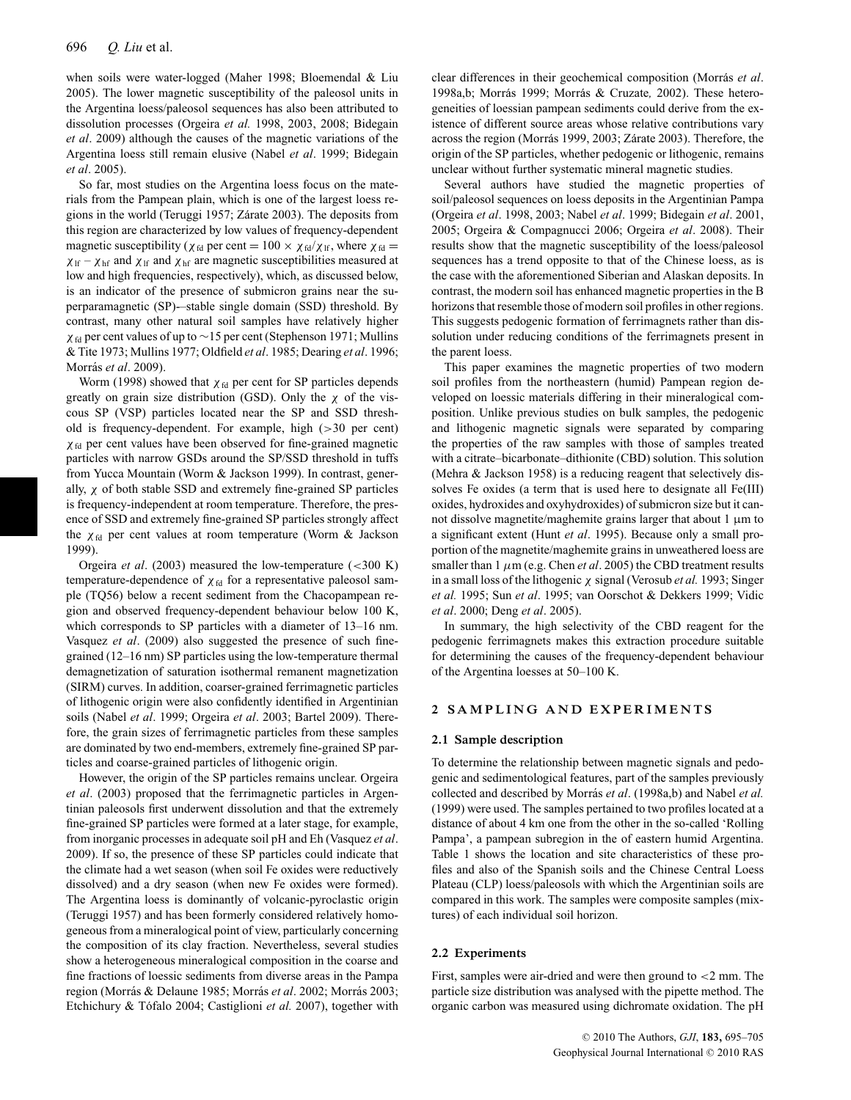when soils were water-logged (Maher 1998; Bloemendal & Liu 2005). The lower magnetic susceptibility of the paleosol units in the Argentina loess/paleosol sequences has also been attributed to dissolution processes (Orgeira *et al.* 1998, 2003, 2008; Bidegain *et al*. 2009) although the causes of the magnetic variations of the Argentina loess still remain elusive (Nabel *et al*. 1999; Bidegain *et al*. 2005).

So far, most studies on the Argentina loess focus on the materials from the Pampean plain, which is one of the largest loess regions in the world (Teruggi 1957; Zárate 2003). The deposits from this region are characterized by low values of frequency-dependent magnetic susceptibility ( $\chi_{fd}$  per cent = 100  $\times \chi_{fd}/\chi_{lf}$ , where  $\chi_{fd}$  =  $\chi_{\text{lf}} - \chi_{\text{hf}}$  and  $\chi_{\text{lf}}$  and  $\chi_{\text{hf}}$  are magnetic susceptibilities measured at low and high frequencies, respectively), which, as discussed below, is an indicator of the presence of submicron grains near the superparamagnetic (SP)-–stable single domain (SSD) threshold. By contrast, many other natural soil samples have relatively higher  $\chi$ <sub>fd</sub> per cent values of up to ∼15 per cent (Stephenson 1971; Mullins & Tite 1973; Mullins 1977; Oldfield *et al*. 1985; Dearing *et al*. 1996; Morrás et al. 2009).

Worm (1998) showed that  $\chi_{fd}$  per cent for SP particles depends greatly on grain size distribution (GSD). Only the  $\chi$  of the viscous SP (VSP) particles located near the SP and SSD threshold is frequency-dependent. For example, high (>30 per cent)  $\chi$ <sub>fd</sub> per cent values have been observed for fine-grained magnetic particles with narrow GSDs around the SP/SSD threshold in tuffs from Yucca Mountain (Worm & Jackson 1999). In contrast, generally,  $\chi$  of both stable SSD and extremely fine-grained SP particles is frequency-independent at room temperature. Therefore, the presence of SSD and extremely fine-grained SP particles strongly affect the  $\chi_{\text{fd}}$  per cent values at room temperature (Worm & Jackson 1999).

Orgeira *et al*. (2003) measured the low-temperature (<300 K) temperature-dependence of  $\chi_{fd}$  for a representative paleosol sample (TQ56) below a recent sediment from the Chacopampean region and observed frequency-dependent behaviour below 100 K, which corresponds to SP particles with a diameter of 13–16 nm. Vasquez *et al*. (2009) also suggested the presence of such finegrained (12–16 nm) SP particles using the low-temperature thermal demagnetization of saturation isothermal remanent magnetization (SIRM) curves. In addition, coarser-grained ferrimagnetic particles of lithogenic origin were also confidently identified in Argentinian soils (Nabel *et al*. 1999; Orgeira *et al*. 2003; Bartel 2009). Therefore, the grain sizes of ferrimagnetic particles from these samples are dominated by two end-members, extremely fine-grained SP particles and coarse-grained particles of lithogenic origin.

However, the origin of the SP particles remains unclear. Orgeira *et al*. (2003) proposed that the ferrimagnetic particles in Argentinian paleosols first underwent dissolution and that the extremely fine-grained SP particles were formed at a later stage, for example, from inorganic processes in adequate soil pH and Eh (Vasquez *et al*. 2009). If so, the presence of these SP particles could indicate that the climate had a wet season (when soil Fe oxides were reductively dissolved) and a dry season (when new Fe oxides were formed). The Argentina loess is dominantly of volcanic-pyroclastic origin (Teruggi 1957) and has been formerly considered relatively homogeneous from a mineralogical point of view, particularly concerning the composition of its clay fraction. Nevertheless, several studies show a heterogeneous mineralogical composition in the coarse and fine fractions of loessic sediments from diverse areas in the Pampa region (Morrás & Delaune 1985; Morrás et al. 2002; Morrás 2003; Etchichury & Tófalo 2004; Castiglioni et al. 2007), together with

clear differences in their geochemical composition (Morras´ *et al*. 1998a,b; Morrás 1999; Morrás & Cruzate, 2002). These heterogeneities of loessian pampean sediments could derive from the existence of different source areas whose relative contributions vary across the region (Morrás 1999, 2003; Zárate 2003). Therefore, the origin of the SP particles, whether pedogenic or lithogenic, remains unclear without further systematic mineral magnetic studies.

Several authors have studied the magnetic properties of soil/paleosol sequences on loess deposits in the Argentinian Pampa (Orgeira *et al*. 1998, 2003; Nabel *et al*. 1999; Bidegain *et al*. 2001, 2005; Orgeira & Compagnucci 2006; Orgeira *et al*. 2008). Their results show that the magnetic susceptibility of the loess/paleosol sequences has a trend opposite to that of the Chinese loess, as is the case with the aforementioned Siberian and Alaskan deposits. In contrast, the modern soil has enhanced magnetic properties in the B horizons that resemble those of modern soil profiles in other regions. This suggests pedogenic formation of ferrimagnets rather than dissolution under reducing conditions of the ferrimagnets present in the parent loess.

This paper examines the magnetic properties of two modern soil profiles from the northeastern (humid) Pampean region developed on loessic materials differing in their mineralogical composition. Unlike previous studies on bulk samples, the pedogenic and lithogenic magnetic signals were separated by comparing the properties of the raw samples with those of samples treated with a citrate–bicarbonate–dithionite (CBD) solution. This solution (Mehra & Jackson 1958) is a reducing reagent that selectively dissolves Fe oxides (a term that is used here to designate all Fe(III) oxides, hydroxides and oxyhydroxides) of submicron size but it cannot dissolve magnetite/maghemite grains larger that about  $1 \mu m$  to a significant extent (Hunt *et al*. 1995). Because only a small proportion of the magnetite/maghemite grains in unweathered loess are smaller than  $1 \mu m$  (e.g. Chen *et al.* 2005) the CBD treatment results in a small loss of the lithogenic χ signal (Verosub *et al.* 1993; Singer *et al.* 1995; Sun *et al*. 1995; van Oorschot & Dekkers 1999; Vidic *et al*. 2000; Deng *et al*. 2005).

In summary, the high selectivity of the CBD reagent for the pedogenic ferrimagnets makes this extraction procedure suitable for determining the causes of the frequency-dependent behaviour of the Argentina loesses at 50–100 K.

# **2 SAMPLING AND EXPERIMENTS**

#### **2.1 Sample description**

To determine the relationship between magnetic signals and pedogenic and sedimentological features, part of the samples previously collected and described by Morrás *et al.* (1998a,b) and Nabel *et al.* (1999) were used. The samples pertained to two profiles located at a distance of about 4 km one from the other in the so-called 'Rolling Pampa', a pampean subregion in the of eastern humid Argentina. Table 1 shows the location and site characteristics of these profiles and also of the Spanish soils and the Chinese Central Loess Plateau (CLP) loess/paleosols with which the Argentinian soils are compared in this work. The samples were composite samples (mixtures) of each individual soil horizon.

#### **2.2 Experiments**

First, samples were air-dried and were then ground to <2 mm. The particle size distribution was analysed with the pipette method. The organic carbon was measured using dichromate oxidation. The pH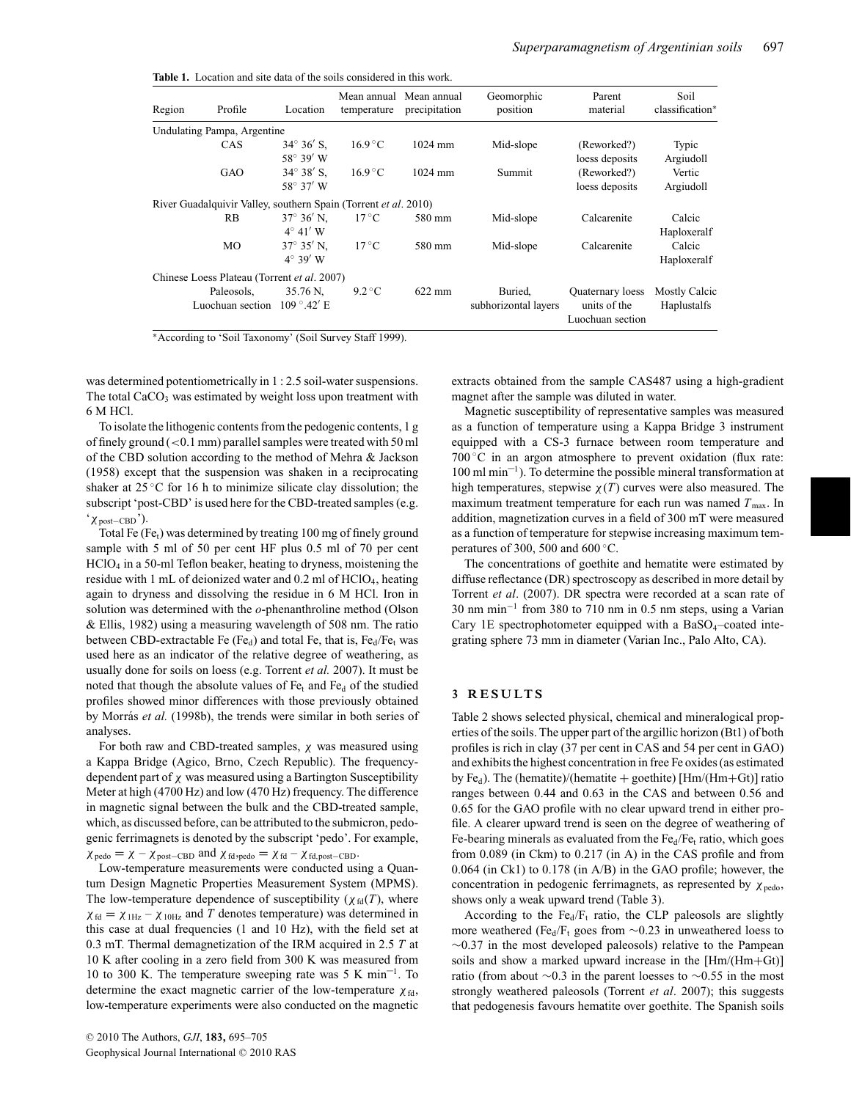|  |  |  | <b>Table 1.</b> Location and site data of the soils considered in this work. |  |
|--|--|--|------------------------------------------------------------------------------|--|
|  |  |  |                                                                              |  |

| Region | Profile                                                         | Location                    | temperature      | Mean annual Mean annual<br>precipitation | Geomorphic<br>position | Parent<br>material               | Soil<br>classification* |
|--------|-----------------------------------------------------------------|-----------------------------|------------------|------------------------------------------|------------------------|----------------------------------|-------------------------|
|        | Undulating Pampa, Argentine                                     |                             |                  |                                          |                        |                                  |                         |
|        | CAS                                                             | $34^{\circ} 36'$ S,         | $16.9\degree$ C  | $1024$ mm                                | Mid-slope              | (Reworked?)                      | Typic                   |
|        |                                                                 | $58^{\circ} 39' W$          |                  |                                          |                        | loess deposits                   | Argiudoll               |
|        | GAO                                                             | $34^{\circ} 38'$ S.         | $16.9\text{ °C}$ | $1024$ mm                                | Summit                 | (Reworked?)                      | Vertic                  |
|        |                                                                 | 58° 37' W                   |                  |                                          |                        | loess deposits                   | Argiudoll               |
|        | River Guadalquivir Valley, southern Spain (Torrent et al. 2010) |                             |                  |                                          |                        |                                  |                         |
|        | <b>RB</b>                                                       | $37^{\circ} 36'$ N.         | $17^{\circ}$ C   | 580 mm                                   | Mid-slope              | Calcarenite                      | Calcic                  |
|        |                                                                 | $4^{\circ}$ 41' W           |                  |                                          |                        |                                  | Haploxeralf             |
|        | MO                                                              | $37^{\circ}$ 35' N.         | $17^{\circ}$ C   | 580 mm                                   | Mid-slope              | Calcarenite                      | Calcic                  |
|        |                                                                 | $4^\circ$ 39' W             |                  |                                          |                        |                                  | Haploxeralf             |
|        | Chinese Loess Plateau (Torrent et al. 2007)                     |                             |                  |                                          |                        |                                  |                         |
|        | Paleosols.                                                      | 35.76 N.                    | $9.2\degree C$   | $622 \text{ mm}$                         | Buried.                | <b>Ouaternary</b> loess          | <b>Mostly Calcic</b>    |
|        | Luochuan section                                                | $109^{\circ}.42' \text{ E}$ |                  |                                          | subhorizontal layers   | units of the<br>Luochuan section | Haplustalfs             |

∗According to 'Soil Taxonomy' (Soil Survey Staff 1999).

was determined potentiometrically in 1 : 2.5 soil-water suspensions. The total  $CaCO<sub>3</sub>$  was estimated by weight loss upon treatment with 6 M HCl.

To isolate the lithogenic contents from the pedogenic contents, 1 g of finely ground  $(< 0.1$  mm) parallel samples were treated with 50 ml of the CBD solution according to the method of Mehra & Jackson (1958) except that the suspension was shaken in a reciprocating shaker at  $25^{\circ}$ C for 16 h to minimize silicate clay dissolution; the subscript 'post-CBD' is used here for the CBD-treated samples (e.g. 'χpost−CBD').

Total Fe (Fe<sub>t</sub>) was determined by treating 100 mg of finely ground sample with 5 ml of 50 per cent HF plus 0.5 ml of 70 per cent HClO4 in a 50-ml Teflon beaker, heating to dryness, moistening the residue with 1 mL of deionized water and 0.2 ml of HClO4, heating again to dryness and dissolving the residue in 6 M HCl. Iron in solution was determined with the *o*-phenanthroline method (Olson & Ellis, 1982) using a measuring wavelength of 508 nm. The ratio between CBD-extractable Fe (Fe<sub>d</sub>) and total Fe, that is, Fe<sub>d</sub>/Fe<sub>t</sub> was used here as an indicator of the relative degree of weathering, as usually done for soils on loess (e.g. Torrent *et al.* 2007). It must be noted that though the absolute values of  $Fe<sub>t</sub>$  and  $Fe<sub>d</sub>$  of the studied profiles showed minor differences with those previously obtained by Morrás et al. (1998b), the trends were similar in both series of analyses.

For both raw and CBD-treated samples,  $\chi$  was measured using a Kappa Bridge (Agico, Brno, Czech Republic). The frequencydependent part of  $\chi$  was measured using a Bartington Susceptibility Meter at high (4700 Hz) and low (470 Hz) frequency. The difference in magnetic signal between the bulk and the CBD-treated sample, which, as discussed before, can be attributed to the submicron, pedogenic ferrimagnets is denoted by the subscript 'pedo'. For example,

 $\chi_{\text{pedo}} = \chi - \chi_{\text{post}-\text{CBD}}$  and  $\chi_{\text{fd},\text{pedo}} = \chi_{\text{fd}} - \chi_{\text{fd},\text{post}-\text{CBD}}$ .

Low-temperature measurements were conducted using a Quantum Design Magnetic Properties Measurement System (MPMS). The low-temperature dependence of susceptibility ( $\chi_{fd}(T)$ , where  $\chi_{\text{fd}} = \chi_{1\text{Hz}} - \chi_{10\text{Hz}}$  and *T* denotes temperature) was determined in this case at dual frequencies (1 and 10 Hz), with the field set at 0.3 mT. Thermal demagnetization of the IRM acquired in 2.5 *T* at 10 K after cooling in a zero field from 300 K was measured from 10 to 300 K. The temperature sweeping rate was 5 K min<sup>-1</sup>. To determine the exact magnetic carrier of the low-temperature  $\chi_{fd}$ , low-temperature experiments were also conducted on the magnetic extracts obtained from the sample CAS487 using a high-gradient magnet after the sample was diluted in water.

Magnetic susceptibility of representative samples was measured as a function of temperature using a Kappa Bridge 3 instrument equipped with a CS-3 furnace between room temperature and 700 $\degree$ C in an argon atmosphere to prevent oxidation (flux rate: 100 ml min–1). To determine the possible mineral transformation at high temperatures, stepwise  $\chi(T)$  curves were also measured. The maximum treatment temperature for each run was named  $T_{\text{max}}$ . In addition, magnetization curves in a field of 300 mT were measured as a function of temperature for stepwise increasing maximum temperatures of 300, 500 and 600 $°C$ .

The concentrations of goethite and hematite were estimated by diffuse reflectance (DR) spectroscopy as described in more detail by Torrent *et al*. (2007). DR spectra were recorded at a scan rate of 30 nm min−<sup>1</sup> from 380 to 710 nm in 0.5 nm steps, using a Varian Cary 1E spectrophotometer equipped with a BaSO<sub>4</sub>-coated integrating sphere 73 mm in diameter (Varian Inc., Palo Alto, CA).

#### **3 RESULTS**

Table 2 shows selected physical, chemical and mineralogical properties of the soils. The upper part of the argillic horizon (Bt1) of both profiles is rich in clay (37 per cent in CAS and 54 per cent in GAO) and exhibits the highest concentration in free Fe oxides (as estimated by Fe<sub>d</sub>). The (hematite)/(hematite + goethite) [Hm/(Hm+Gt)] ratio ranges between 0.44 and 0.63 in the CAS and between 0.56 and 0.65 for the GAO profile with no clear upward trend in either profile. A clearer upward trend is seen on the degree of weathering of Fe-bearing minerals as evaluated from the  $Fe<sub>d</sub>/Fe<sub>t</sub>$  ratio, which goes from 0.089 (in Ckm) to 0.217 (in A) in the CAS profile and from 0.064 (in Ck1) to 0.178 (in A/B) in the GAO profile; however, the concentration in pedogenic ferrimagnets, as represented by  $\chi_{\text{pedo}}$ , shows only a weak upward trend (Table 3).

According to the  $Fe<sub>d</sub>/F<sub>t</sub>$  ratio, the CLP paleosols are slightly more weathered (Fe<sub>d</sub>/F<sub>t</sub> goes from  $\sim$ 0.23 in unweathered loess to  $\sim$ 0.37 in the most developed paleosols) relative to the Pampean soils and show a marked upward increase in the [Hm/(Hm+Gt)] ratio (from about ∼0.3 in the parent loesses to ∼0.55 in the most strongly weathered paleosols (Torrent *et al*. 2007); this suggests that pedogenesis favours hematite over goethite. The Spanish soils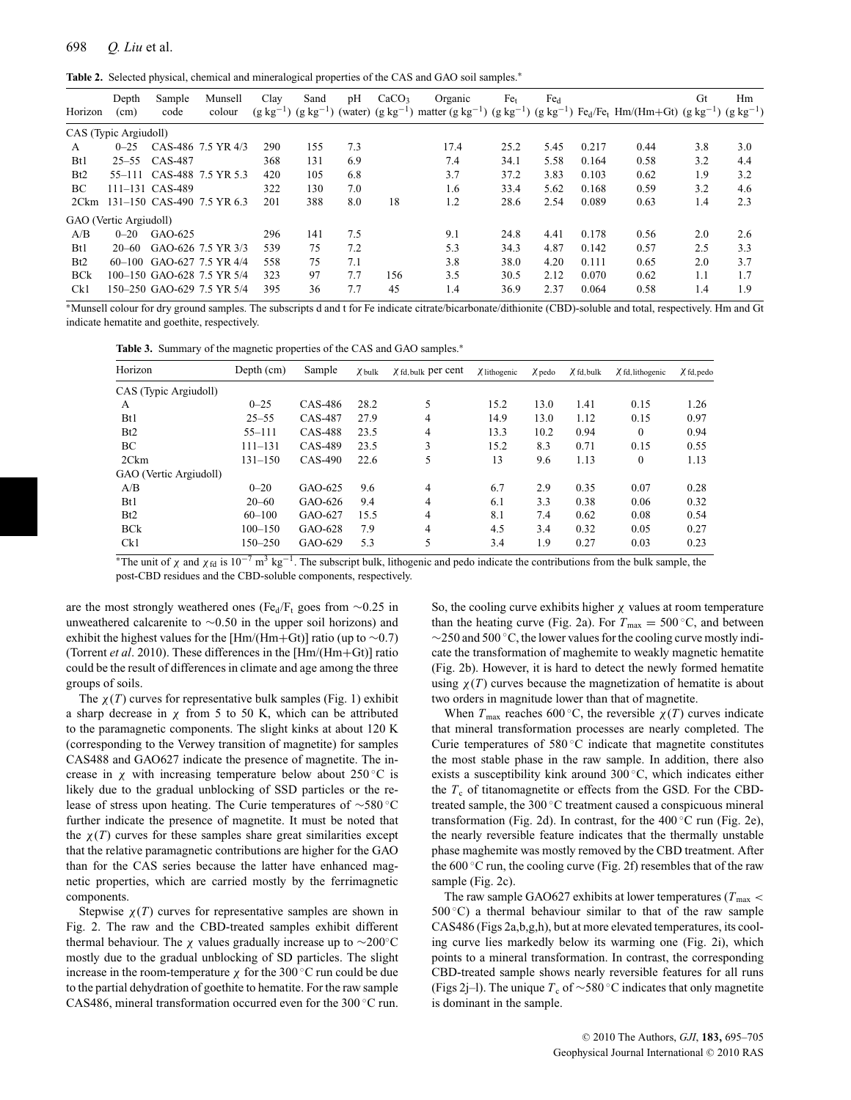**Table 2.** Selected physical, chemical and mineralogical properties of the CAS and GAO soil samples.<sup>∗</sup>

| Horizon          | Depth<br>(cm)          | Sample<br>code  | Munsell<br>colour          | Clay<br>$(g \ kg^{-1})$ | Sand<br>$(g \text{ kg}^{-1})$ | pH  | CaCO <sub>3</sub> | Organic<br>(water) $(g kg^{-1})$ matter $(g kg^{-1}) (g kg^{-1}) (g kg^{-1}) F e_d / Fe_t Hm/(Hm+Gt) (g kg^{-1}) (g kg^{-1})$ | Fe <sub>t</sub> | Fe <sub>d</sub> |       |      | Gt  | Hm  |
|------------------|------------------------|-----------------|----------------------------|-------------------------|-------------------------------|-----|-------------------|-------------------------------------------------------------------------------------------------------------------------------|-----------------|-----------------|-------|------|-----|-----|
|                  |                        |                 |                            |                         |                               |     |                   |                                                                                                                               |                 |                 |       |      |     |     |
|                  | CAS (Typic Argiudoll)  |                 |                            |                         |                               |     |                   |                                                                                                                               |                 |                 |       |      |     |     |
| A                | $0 - 25$               |                 | CAS-486 7.5 YR 4/3         | 290                     | 155                           | 7.3 |                   | 17.4                                                                                                                          | 25.2            | 5.45            | 0.217 | 0.44 | 3.8 | 3.0 |
| Bt1              | $25 - 55$              | CAS-487         |                            | 368                     | 131                           | 6.9 |                   | 7.4                                                                                                                           | 34.1            | 5.58            | 0.164 | 0.58 | 3.2 | 4.4 |
| B <sub>t</sub> 2 | $55 - 111$             |                 | CAS-488 7.5 YR 5.3         | 420                     | 105                           | 6.8 |                   | 3.7                                                                                                                           | 37.2            | 3.83            | 0.103 | 0.62 | 1.9 | 3.2 |
| BC               |                        | 111-131 CAS-489 |                            | 322                     | 130                           | 7.0 |                   | 1.6                                                                                                                           | 33.4            | 5.62            | 0.168 | 0.59 | 3.2 | 4.6 |
| 2Ckm             |                        |                 | 131-150 CAS-490 7.5 YR 6.3 | 201                     | 388                           | 8.0 | 18                | 1.2                                                                                                                           | 28.6            | 2.54            | 0.089 | 0.63 | 1.4 | 2.3 |
|                  | GAO (Vertic Argiudoll) |                 |                            |                         |                               |     |                   |                                                                                                                               |                 |                 |       |      |     |     |
| A/B              | $0 - 20$               | GAO-625         |                            | 296                     | 141                           | 7.5 |                   | 9.1                                                                                                                           | 24.8            | 4.41            | 0.178 | 0.56 | 2.0 | 2.6 |
| Bt1              | $20 - 60$              |                 | GAO-626 7.5 YR 3/3         | 539                     | 75                            | 7.2 |                   | 5.3                                                                                                                           | 34.3            | 4.87            | 0.142 | 0.57 | 2.5 | 3.3 |
| Bt2              | 60–100                 |                 | GAO-627 7.5 YR 4/4         | 558                     | 75                            | 7.1 |                   | 3.8                                                                                                                           | 38.0            | 4.20            | 0.111 | 0.65 | 2.0 | 3.7 |
| <b>BCk</b>       |                        |                 | 100-150 GAO-628 7.5 YR 5/4 | 323                     | 97                            | 7.7 | 156               | 3.5                                                                                                                           | 30.5            | 2.12            | 0.070 | 0.62 | 1.1 | 1.7 |
| Ck1              |                        |                 | 150-250 GAO-629 7.5 YR 5/4 | 395                     | 36                            | 7.7 | 45                | 1.4                                                                                                                           | 36.9            | 2.37            | 0.064 | 0.58 | 1.4 | 1.9 |

∗Munsell colour for dry ground samples. The subscripts d and t for Fe indicate citrate/bicarbonate/dithionite (CBD)-soluble and total, respectively. Hm and Gt indicate hematite and goethite, respectively.

Table 3. Summary of the magnetic properties of the CAS and GAO samples.<sup>∗</sup>

| Horizon                | Depth $(cm)$ | Sample  | $\chi$ bulk | $\chi$ fd, bulk per cent | $\chi$ lithogenic | $\chi$ pedo | $\chi$ fd, bulk | $\chi$ fd, lithogenic | $X$ fd, pedo |
|------------------------|--------------|---------|-------------|--------------------------|-------------------|-------------|-----------------|-----------------------|--------------|
| CAS (Typic Argiudoll)  |              |         |             |                          |                   |             |                 |                       |              |
| А                      | $0 - 25$     | CAS-486 | 28.2        | 5                        | 15.2              | 13.0        | 1.41            | 0.15                  | 1.26         |
| B <sub>t1</sub>        | $25 - 55$    | CAS-487 | 27.9        | 4                        | 14.9              | 13.0        | 1.12            | 0.15                  | 0.97         |
| B <sub>t</sub> 2       | $55 - 111$   | CAS-488 | 23.5        | 4                        | 13.3              | 10.2        | 0.94            | $\theta$              | 0.94         |
| BC                     | $111 - 131$  | CAS-489 | 23.5        | 3                        | 15.2              | 8.3         | 0.71            | 0.15                  | 0.55         |
| 2Ckm                   | $131 - 150$  | CAS-490 | 22.6        | 5                        | 13                | 9.6         | 1.13            | $\mathbf{0}$          | 1.13         |
| GAO (Vertic Argiudoll) |              |         |             |                          |                   |             |                 |                       |              |
| A/B                    | $0 - 20$     | GAO-625 | 9.6         | 4                        | 6.7               | 2.9         | 0.35            | 0.07                  | 0.28         |
| B <sub>t1</sub>        | $20 - 60$    | GAO-626 | 9.4         | 4                        | 6.1               | 3.3         | 0.38            | 0.06                  | 0.32         |
| B <sub>t</sub> 2       | $60 - 100$   | GAO-627 | 15.5        | 4                        | 8.1               | 7.4         | 0.62            | 0.08                  | 0.54         |
| <b>BCk</b>             | $100 - 150$  | GAO-628 | 7.9         | 4                        | 4.5               | 3.4         | 0.32            | 0.05                  | 0.27         |
| Ck1                    | 150–250      | GAO-629 | 5.3         |                          | 3.4               | 1.9         | 0.27            | 0.03                  | 0.23         |

\*The unit of  $\chi$  and  $\chi_{fd}$  is 10<sup>-7</sup> m<sup>3</sup> kg<sup>-1</sup>. The subscript bulk, lithogenic and pedo indicate the contributions from the bulk sample, the post-CBD residues and the CBD-soluble components, respectively.

are the most strongly weathered ones (Fe<sub>d</sub>/F<sub>t</sub> goes from  $\sim$ 0.25 in unweathered calcarenite to ∼0.50 in the upper soil horizons) and exhibit the highest values for the [Hm/(Hm+Gt)] ratio (up to  $\sim$ 0.7) (Torrent *et al*. 2010). These differences in the [Hm/(Hm+Gt)] ratio could be the result of differences in climate and age among the three groups of soils.

The  $\chi(T)$  curves for representative bulk samples (Fig. 1) exhibit a sharp decrease in  $\chi$  from 5 to 50 K, which can be attributed to the paramagnetic components. The slight kinks at about 120 K (corresponding to the Verwey transition of magnetite) for samples CAS488 and GAO627 indicate the presence of magnetite. The increase in  $\chi$  with increasing temperature below about 250 °C is likely due to the gradual unblocking of SSD particles or the release of stress upon heating. The Curie temperatures of ∼580 ◦C further indicate the presence of magnetite. It must be noted that the  $\chi(T)$  curves for these samples share great similarities except that the relative paramagnetic contributions are higher for the GAO than for the CAS series because the latter have enhanced magnetic properties, which are carried mostly by the ferrimagnetic components.

Stepwise  $\chi(T)$  curves for representative samples are shown in Fig. 2. The raw and the CBD-treated samples exhibit different thermal behaviour. The  $\chi$  values gradually increase up to ∼200°C mostly due to the gradual unblocking of SD particles. The slight increase in the room-temperature  $\chi$  for the 300 °C run could be due to the partial dehydration of goethite to hematite. For the raw sample CAS486, mineral transformation occurred even for the 300 ◦C run.

So, the cooling curve exhibits higher  $\chi$  values at room temperature than the heating curve (Fig. 2a). For  $T_{\text{max}} = 500 \degree \text{C}$ , and between ∼250 and 500 ◦C, the lower values for the cooling curve mostly indicate the transformation of maghemite to weakly magnetic hematite (Fig. 2b). However, it is hard to detect the newly formed hematite using  $\chi(T)$  curves because the magnetization of hematite is about two orders in magnitude lower than that of magnetite.

When  $T_{\text{max}}$  reaches 600 °C, the reversible  $\chi(T)$  curves indicate that mineral transformation processes are nearly completed. The Curie temperatures of 580 ◦C indicate that magnetite constitutes the most stable phase in the raw sample. In addition, there also exists a susceptibility kink around 300 ◦C, which indicates either the  $T_c$  of titanomagnetite or effects from the GSD. For the CBDtreated sample, the 300 ◦C treatment caused a conspicuous mineral transformation (Fig. 2d). In contrast, for the  $400\degree$ C run (Fig. 2e), the nearly reversible feature indicates that the thermally unstable phase maghemite was mostly removed by the CBD treatment. After the  $600^{\circ}$ C run, the cooling curve (Fig. 2f) resembles that of the raw sample (Fig. 2c).

The raw sample GAO627 exhibits at lower temperatures ( $T_{\text{max}}$  <  $500\degree C$ ) a thermal behaviour similar to that of the raw sample CAS486 (Figs 2a,b,g,h), but at more elevated temperatures, its cooling curve lies markedly below its warming one (Fig. 2i), which points to a mineral transformation. In contrast, the corresponding CBD-treated sample shows nearly reversible features for all runs (Figs 2j–l). The unique  $T_c$  of ∼580 °C indicates that only magnetite is dominant in the sample.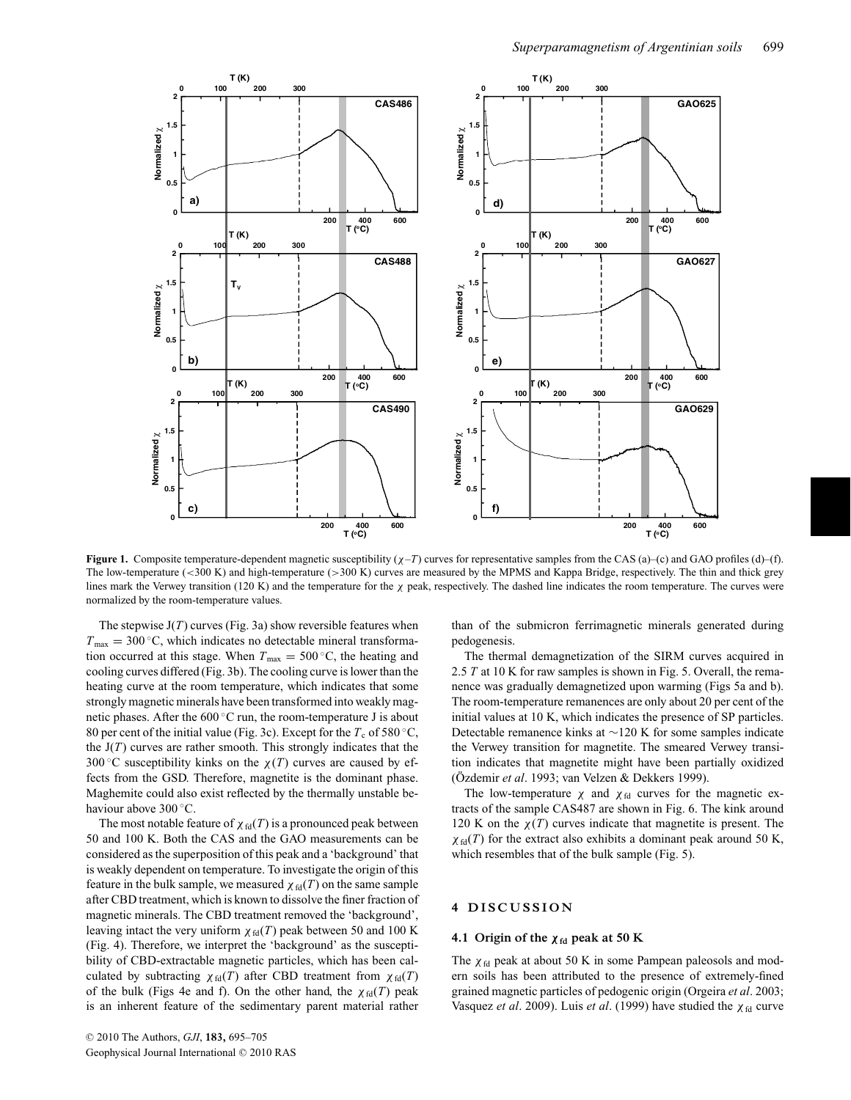

**Figure 1.** Composite temperature-dependent magnetic susceptibility  $(\chi - T)$  curves for representative samples from the CAS (a)–(c) and GAO profiles (d)–(f). The low-temperature (<300 K) and high-temperature (>300 K) curves are measured by the MPMS and Kappa Bridge, respectively. The thin and thick grey lines mark the Verwey transition (120 K) and the temperature for the  $\chi$  peak, respectively. The dashed line indicates the room temperature. The curves were normalized by the room-temperature values.

The stepwise  $J(T)$  curves (Fig. 3a) show reversible features when  $T_{\text{max}} = 300 \degree C$ , which indicates no detectable mineral transformation occurred at this stage. When  $T_{\text{max}} = 500 \degree \text{C}$ , the heating and cooling curves differed (Fig. 3b). The cooling curve is lower than the heating curve at the room temperature, which indicates that some strongly magnetic minerals have been transformed into weakly magnetic phases. After the 600 ◦C run, the room-temperature J is about 80 per cent of the initial value (Fig. 3c). Except for the  $T_c$  of 580 °C, the  $J(T)$  curves are rather smooth. This strongly indicates that the 300 °C susceptibility kinks on the  $\chi(T)$  curves are caused by effects from the GSD. Therefore, magnetite is the dominant phase. Maghemite could also exist reflected by the thermally unstable behaviour above 300 ◦C.

The most notable feature of  $\chi_{fd}(T)$  is a pronounced peak between 50 and 100 K. Both the CAS and the GAO measurements can be considered as the superposition of this peak and a 'background' that is weakly dependent on temperature. To investigate the origin of this feature in the bulk sample, we measured  $\chi_{fd}(T)$  on the same sample after CBD treatment, which is known to dissolve the finer fraction of magnetic minerals. The CBD treatment removed the 'background', leaving intact the very uniform  $\chi_{\text{fd}}(T)$  peak between 50 and 100 K (Fig. 4). Therefore, we interpret the 'background' as the susceptibility of CBD-extractable magnetic particles, which has been calculated by subtracting  $\chi_{fd}(T)$  after CBD treatment from  $\chi_{fd}(T)$ of the bulk (Figs 4e and f). On the other hand, the  $\chi_{fd}(T)$  peak is an inherent feature of the sedimentary parent material rather

than of the submicron ferrimagnetic minerals generated during pedogenesis.

The thermal demagnetization of the SIRM curves acquired in 2.5 *T* at 10 K for raw samples is shown in Fig. 5. Overall, the remanence was gradually demagnetized upon warming (Figs 5a and b). The room-temperature remanences are only about 20 per cent of the initial values at 10 K, which indicates the presence of SP particles. Detectable remanence kinks at ∼120 K for some samples indicate the Verwey transition for magnetite. The smeared Verwey transition indicates that magnetite might have been partially oxidized (Özdemir et al. 1993; van Velzen & Dekkers 1999).

The low-temperature  $\chi$  and  $\chi$ <sub>fd</sub> curves for the magnetic extracts of the sample CAS487 are shown in Fig. 6. The kink around 120 K on the  $\chi(T)$  curves indicate that magnetite is present. The  $\chi_{\text{fd}}(T)$  for the extract also exhibits a dominant peak around 50 K, which resembles that of the bulk sample (Fig. 5).

# **4 DISCUSSION**

#### **4.1 Origin of the**  $\chi$ **<sup>fd</sup> peak at 50 K**

The  $\chi_{fd}$  peak at about 50 K in some Pampean paleosols and modern soils has been attributed to the presence of extremely-fined grained magnetic particles of pedogenic origin (Orgeira *et al*. 2003; Vasquez *et al.* 2009). Luis *et al.* (1999) have studied the χ<sub>fd</sub> curve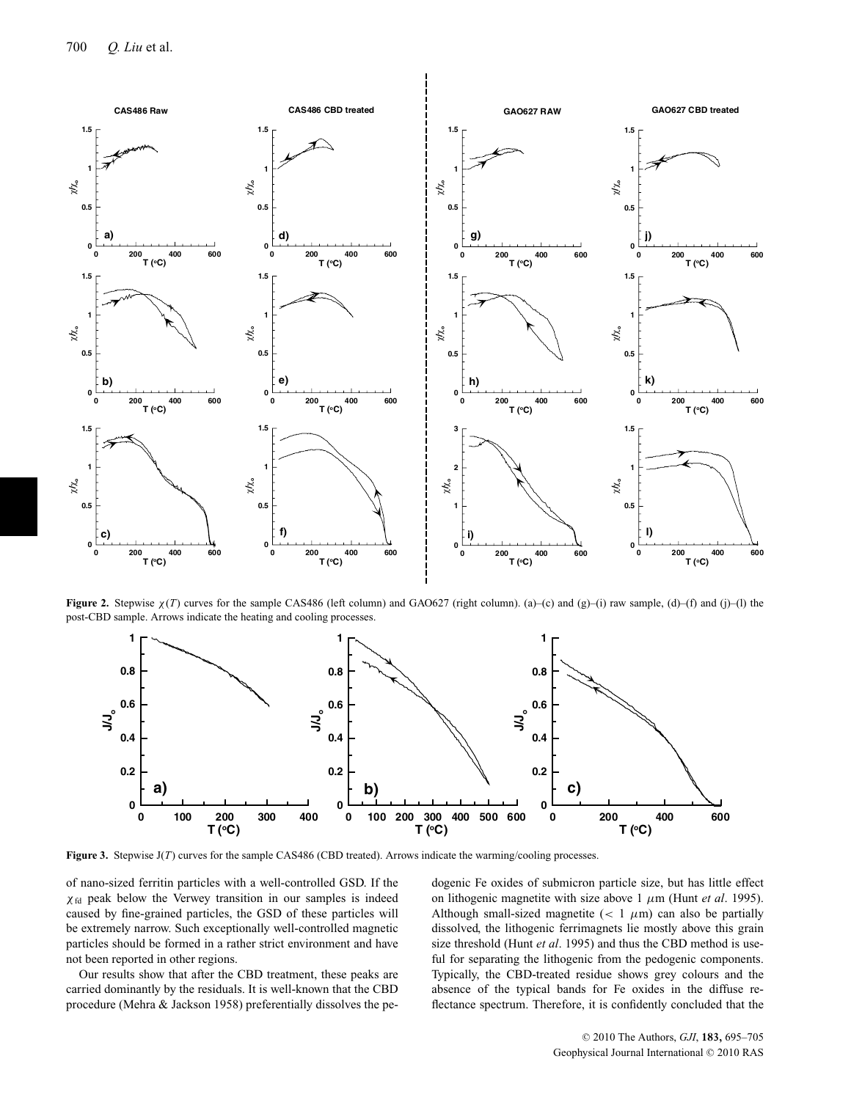

**Figure 2.** Stepwise <sup>χ</sup>(*T*) curves for the sample CAS486 (left column) and GAO627 (right column). (a)–(c) and (g)–(i) raw sample, (d)–(f) and (j)–(l) the post-CBD sample. Arrows indicate the heating and cooling processes.



**Figure 3.** Stepwise J(*T*) curves for the sample CAS486 (CBD treated). Arrows indicate the warming/cooling processes.

of nano-sized ferritin particles with a well-controlled GSD. If the  $\chi_{\text{fd}}$  peak below the Verwey transition in our samples is indeed caused by fine-grained particles, the GSD of these particles will be extremely narrow. Such exceptionally well-controlled magnetic particles should be formed in a rather strict environment and have not been reported in other regions.

Our results show that after the CBD treatment, these peaks are carried dominantly by the residuals. It is well-known that the CBD procedure (Mehra & Jackson 1958) preferentially dissolves the pedogenic Fe oxides of submicron particle size, but has little effect on lithogenic magnetite with size above 1 μm (Hunt *et al*. 1995). Although small-sized magnetite  $(< 1 \mu m)$  can also be partially dissolved, the lithogenic ferrimagnets lie mostly above this grain size threshold (Hunt *et al*. 1995) and thus the CBD method is useful for separating the lithogenic from the pedogenic components. Typically, the CBD-treated residue shows grey colours and the absence of the typical bands for Fe oxides in the diffuse reflectance spectrum. Therefore, it is confidently concluded that the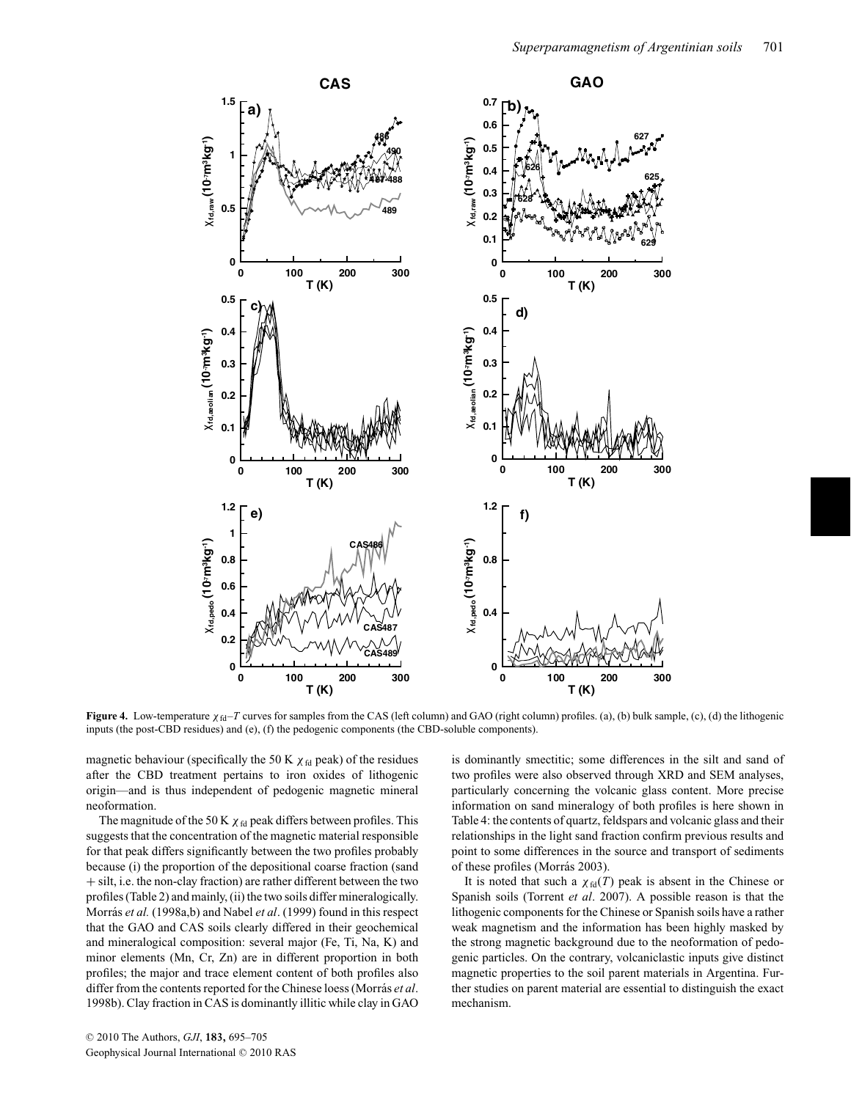

**Figure 4.** Low-temperature <sup>χ</sup>fd–*<sup>T</sup>* curves for samples from the CAS (left column) and GAO (right column) profiles. (a), (b) bulk sample, (c), (d) the lithogenic inputs (the post-CBD residues) and (e), (f) the pedogenic components (the CBD-soluble components).

magnetic behaviour (specifically the 50 K  $\chi$ <sub>fd</sub> peak) of the residues after the CBD treatment pertains to iron oxides of lithogenic origin—and is thus independent of pedogenic magnetic mineral neoformation.

The magnitude of the 50 K  $\chi$  fd peak differs between profiles. This suggests that the concentration of the magnetic material responsible for that peak differs significantly between the two profiles probably because (i) the proportion of the depositional coarse fraction (sand + silt, i.e. the non-clay fraction) are rather different between the two profiles (Table 2) and mainly, (ii) the two soils differ mineralogically. Morrás *et al.* (1998a,b) and Nabel *et al.* (1999) found in this respect that the GAO and CAS soils clearly differed in their geochemical and mineralogical composition: several major (Fe, Ti, Na, K) and minor elements (Mn, Cr, Zn) are in different proportion in both profiles; the major and trace element content of both profiles also differ from the contents reported for the Chinese loess (Morras´ *et al*. 1998b). Clay fraction in CAS is dominantly illitic while clay in GAO

is dominantly smectitic; some differences in the silt and sand of two profiles were also observed through XRD and SEM analyses, particularly concerning the volcanic glass content. More precise information on sand mineralogy of both profiles is here shown in Table 4: the contents of quartz, feldspars and volcanic glass and their relationships in the light sand fraction confirm previous results and point to some differences in the source and transport of sediments of these profiles (Morrás 2003).

It is noted that such a  $\chi_{fd}(T)$  peak is absent in the Chinese or Spanish soils (Torrent *et al*. 2007). A possible reason is that the lithogenic components for the Chinese or Spanish soils have a rather weak magnetism and the information has been highly masked by the strong magnetic background due to the neoformation of pedogenic particles. On the contrary, volcaniclastic inputs give distinct magnetic properties to the soil parent materials in Argentina. Further studies on parent material are essential to distinguish the exact mechanism.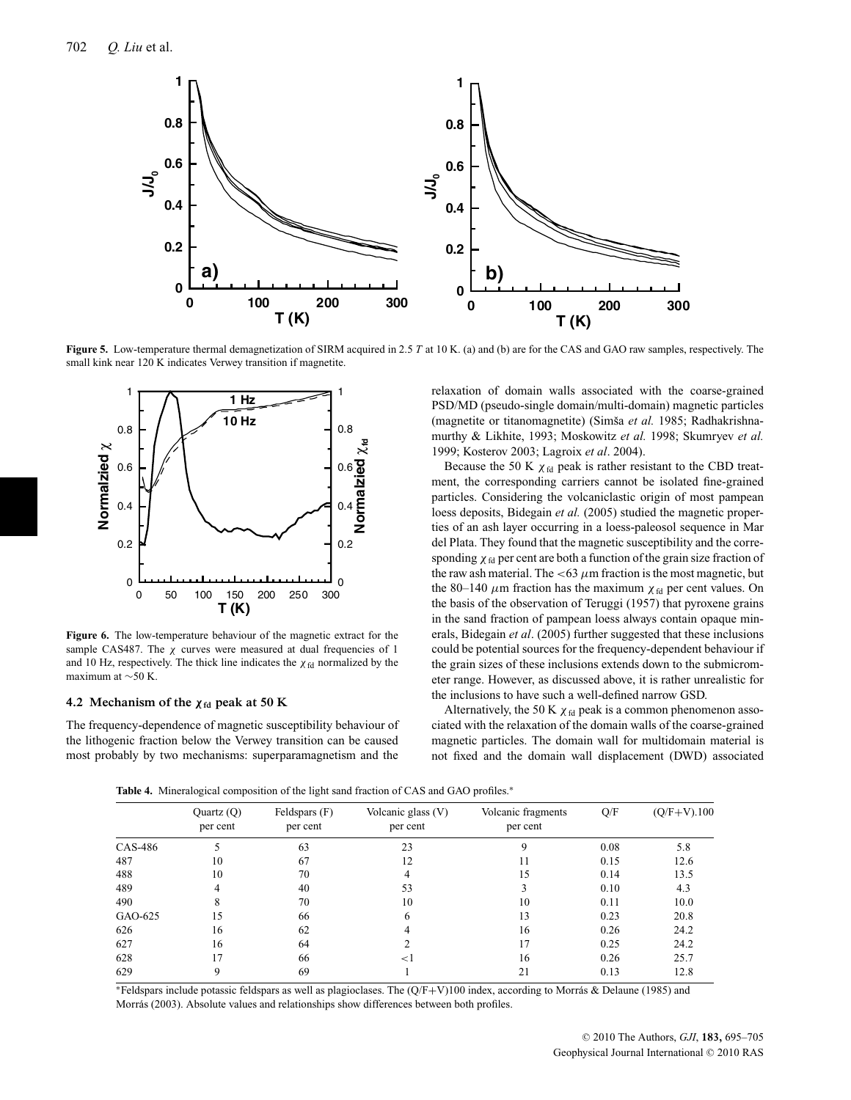

**Figure 5.** Low-temperature thermal demagnetization of SIRM acquired in 2.5 *<sup>T</sup>* at 10 K. (a) and (b) are for the CAS and GAO raw samples, respectively. The small kink near 120 K indicates Verwey transition if magnetite.



**Figure 6.** The low-temperature behaviour of the magnetic extract for the sample CAS487. The  $\chi$  curves were measured at dual frequencies of 1 and 10 Hz, respectively. The thick line indicates the  $\chi$ <sub>fd</sub> normalized by the maximum at ∼50 K.

#### **4.2** Mechanism of the  $\chi$ <sup>fd</sup> peak at 50 K

The frequency-dependence of magnetic susceptibility behaviour of the lithogenic fraction below the Verwey transition can be caused most probably by two mechanisms: superparamagnetism and the relaxation of domain walls associated with the coarse-grained PSD/MD (pseudo-single domain/multi-domain) magnetic particles (magnetite or titanomagnetite) (Simša et al. 1985; Radhakrishnamurthy & Likhite, 1993; Moskowitz *et al.* 1998; Skumryev *et al.* 1999; Kosterov 2003; Lagroix *et al*. 2004).

Because the 50 K  $\chi$ <sub>fd</sub> peak is rather resistant to the CBD treatment, the corresponding carriers cannot be isolated fine-grained particles. Considering the volcaniclastic origin of most pampean loess deposits, Bidegain *et al.* (2005) studied the magnetic properties of an ash layer occurring in a loess-paleosol sequence in Mar del Plata. They found that the magnetic susceptibility and the corresponding  $\chi_{fd}$  per cent are both a function of the grain size fraction of the raw ash material. The <63  $\mu$ m fraction is the most magnetic, but the 80–140  $\mu$ m fraction has the maximum  $\chi_{fd}$  per cent values. On the basis of the observation of Teruggi (1957) that pyroxene grains in the sand fraction of pampean loess always contain opaque minerals, Bidegain *et al*. (2005) further suggested that these inclusions could be potential sources for the frequency-dependent behaviour if the grain sizes of these inclusions extends down to the submicrometer range. However, as discussed above, it is rather unrealistic for the inclusions to have such a well-defined narrow GSD.

Alternatively, the 50 K  $\chi$ <sub>fd</sub> peak is a common phenomenon associated with the relaxation of the domain walls of the coarse-grained magnetic particles. The domain wall for multidomain material is not fixed and the domain wall displacement (DWD) associated

Table 4. Mineralogical composition of the light sand fraction of CAS and GAO profiles.<sup>∗</sup>

|         | Quartz $(Q)$<br>per cent | Feldspars (F)<br>per cent | Volcanic glass $(V)$<br>per cent | Volcanic fragments<br>per cent | Q/F  | $(Q/F+V)$ .100 |
|---------|--------------------------|---------------------------|----------------------------------|--------------------------------|------|----------------|
| CAS-486 | 5                        | 63                        | 23                               | 9                              | 0.08 | 5.8            |
| 487     | 10                       | 67                        | 12                               | 11                             | 0.15 | 12.6           |
| 488     | 10                       | 70                        | 4                                | 15                             | 0.14 | 13.5           |
| 489     | 4                        | 40                        | 53                               | 3                              | 0.10 | 4.3            |
| 490     | 8                        | 70                        | 10                               | 10                             | 0.11 | 10.0           |
| GAO-625 | 15                       | 66                        | 6                                | 13                             | 0.23 | 20.8           |
| 626     | 16                       | 62                        | 4                                | 16                             | 0.26 | 24.2           |
| 627     | 16                       | 64                        |                                  | 17                             | 0.25 | 24.2           |
| 628     | 17                       | 66                        | $\leq$ 1                         | 16                             | 0.26 | 25.7           |
| 629     | 9                        | 69                        |                                  | 21                             | 0.13 | 12.8           |

<sup>∗</sup>Feldspars include potassic feldspars as well as plagioclases. The (Q/F+V)100 index, according to Morras & Delaune (1985) and ´ Morrás (2003). Absolute values and relationships show differences between both profiles.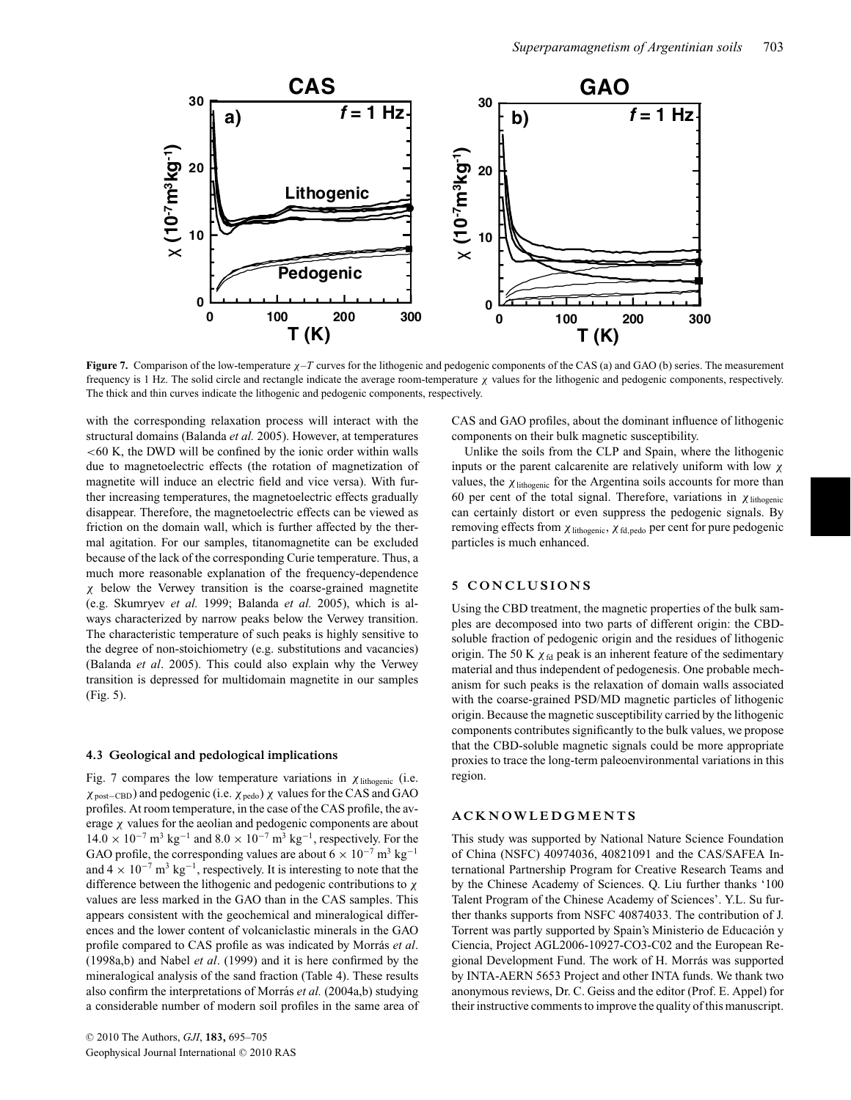

**Figure 7.** Comparison of the low-temperature <sup>χ</sup>–*<sup>T</sup>* curves for the lithogenic and pedogenic components of the CAS (a) and GAO (b) series. The measurement frequency is 1 Hz. The solid circle and rectangle indicate the average room-temperature  $\chi$  values for the lithogenic and pedogenic components, respectively. The thick and thin curves indicate the lithogenic and pedogenic components, respectively.

with the corresponding relaxation process will interact with the structural domains (Balanda *et al.* 2005). However, at temperatures  $<$  60 K, the DWD will be confined by the ionic order within walls due to magnetoelectric effects (the rotation of magnetization of magnetite will induce an electric field and vice versa). With further increasing temperatures, the magnetoelectric effects gradually disappear. Therefore, the magnetoelectric effects can be viewed as friction on the domain wall, which is further affected by the thermal agitation. For our samples, titanomagnetite can be excluded because of the lack of the corresponding Curie temperature. Thus, a much more reasonable explanation of the frequency-dependence χ below the Verwey transition is the coarse-grained magnetite (e.g. Skumryev *et al.* 1999; Balanda *et al.* 2005), which is always characterized by narrow peaks below the Verwey transition. The characteristic temperature of such peaks is highly sensitive to the degree of non-stoichiometry (e.g. substitutions and vacancies) (Balanda *et al*. 2005). This could also explain why the Verwey transition is depressed for multidomain magnetite in our samples (Fig. 5).

## **4.3 Geological and pedological implications**

Fig. 7 compares the low temperature variations in  $\chi$  lithogenic (i.e.  $\chi_{\text{post–CBD}}$ ) and pedogenic (i.e.  $\chi_{\text{pedo}}$ )  $\chi$  values for the CAS and GAO profiles. At room temperature, in the case of the CAS profile, the average  $\chi$  values for the aeolian and pedogenic components are about  $14.0 \times 10^{-7}$  m<sup>3</sup> kg<sup>-1</sup> and  $8.0 \times 10^{-7}$  m<sup>3</sup> kg<sup>-1</sup>, respectively. For the GAO profile, the corresponding values are about  $6 \times 10^{-7}$  m<sup>3</sup> kg<sup>-1</sup> and  $4 \times 10^{-7}$  m<sup>3</sup> kg<sup>-1</sup>, respectively. It is interesting to note that the difference between the lithogenic and pedogenic contributions to χ values are less marked in the GAO than in the CAS samples. This appears consistent with the geochemical and mineralogical differences and the lower content of volcaniclastic minerals in the GAO profile compared to CAS profile as was indicated by Morrás et al. (1998a,b) and Nabel *et al*. (1999) and it is here confirmed by the mineralogical analysis of the sand fraction (Table 4). These results also confirm the interpretations of Morrás *et al.* (2004a,b) studying a considerable number of modern soil profiles in the same area of CAS and GAO profiles, about the dominant influence of lithogenic components on their bulk magnetic susceptibility.

Unlike the soils from the CLP and Spain, where the lithogenic inputs or the parent calcarenite are relatively uniform with low  $\chi$ values, the  $\chi$ <sub>lithogenic</sub> for the Argentina soils accounts for more than 60 per cent of the total signal. Therefore, variations in  $\chi$  lithogenic can certainly distort or even suppress the pedogenic signals. By removing effects from  $\chi$  lithogenic,  $\chi$  fd, pedo per cent for pure pedogenic particles is much enhanced.

### **5 CONCLUSIONS**

Using the CBD treatment, the magnetic properties of the bulk samples are decomposed into two parts of different origin: the CBDsoluble fraction of pedogenic origin and the residues of lithogenic origin. The 50 K  $\chi$ <sub>fd</sub> peak is an inherent feature of the sedimentary material and thus independent of pedogenesis. One probable mechanism for such peaks is the relaxation of domain walls associated with the coarse-grained PSD/MD magnetic particles of lithogenic origin. Because the magnetic susceptibility carried by the lithogenic components contributes significantly to the bulk values, we propose that the CBD-soluble magnetic signals could be more appropriate proxies to trace the long-term paleoenvironmental variations in this region.

# **ACKNOWLEDGMENTS**

This study was supported by National Nature Science Foundation of China (NSFC) 40974036, 40821091 and the CAS/SAFEA International Partnership Program for Creative Research Teams and by the Chinese Academy of Sciences. Q. Liu further thanks '100 Talent Program of the Chinese Academy of Sciences'. Y.L. Su further thanks supports from NSFC 40874033. The contribution of J. Torrent was partly supported by Spain's Ministerio de Educación y Ciencia, Project AGL2006-10927-CO3-C02 and the European Regional Development Fund. The work of H. Morrás was supported by INTA-AERN 5653 Project and other INTA funds. We thank two anonymous reviews, Dr. C. Geiss and the editor (Prof. E. Appel) for their instructive comments to improve the quality of this manuscript.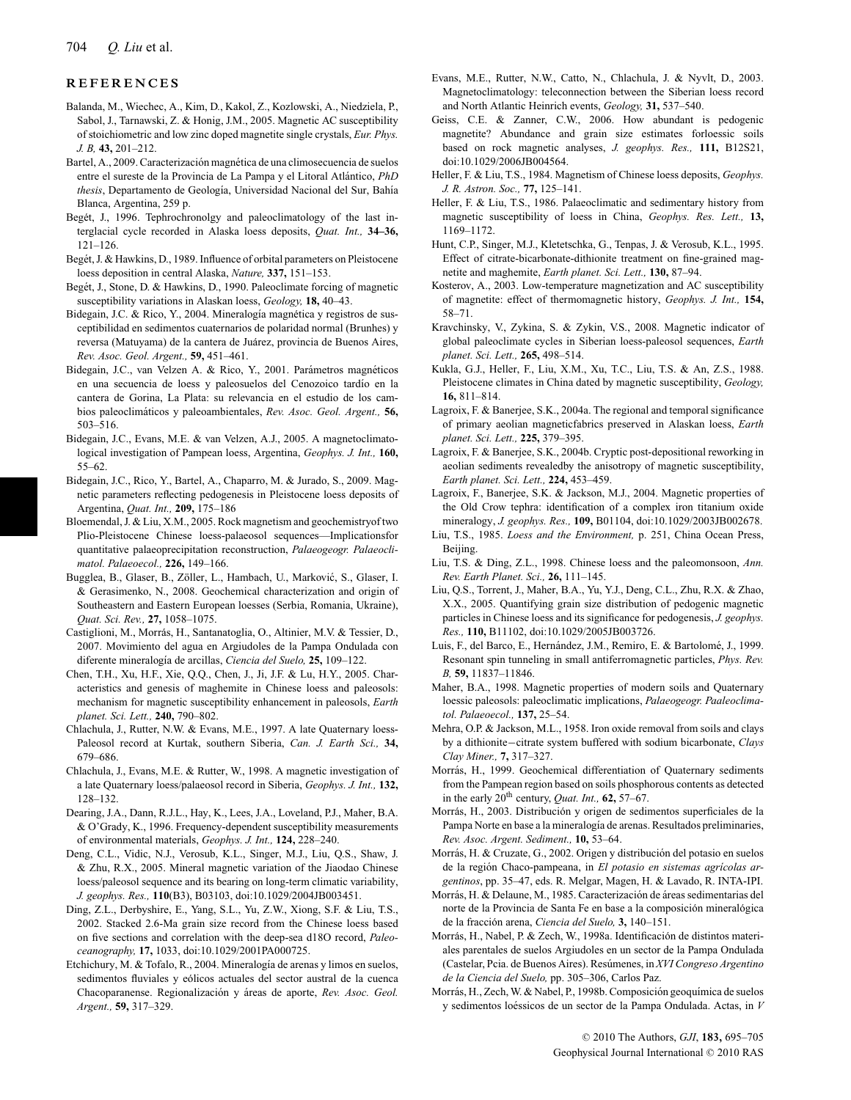# **REFERENCES**

- Balanda, M., Wiechec, A., Kim, D., Kakol, Z., Kozlowski, A., Niedziela, P., Sabol, J., Tarnawski, Z. & Honig, J.M., 2005. Magnetic AC susceptibility of stoichiometric and low zinc doped magnetite single crystals, *Eur. Phys. J. B,* **43,** 201–212.
- Bartel, A., 2009. Caracterización magnética de una climosecuencia de suelos entre el sureste de la Provincia de La Pampa y el Litoral Atlántico, *PhD thesis*, Departamento de Geología, Universidad Nacional del Sur, Bahía Blanca, Argentina, 259 p.
- Begét, J., 1996. Tephrochronolgy and paleoclimatology of the last interglacial cycle recorded in Alaska loess deposits, *Quat. Int.,* **34–36,** 121–126.
- Begét, J. & Hawkins, D., 1989. Influence of orbital parameters on Pleistocene loess deposition in central Alaska, *Nature,* **337,** 151–153.
- Begét, J., Stone, D. & Hawkins, D., 1990. Paleoclimate forcing of magnetic susceptibility variations in Alaskan loess, *Geology,* **18,** 40–43.
- Bidegain, J.C. & Rico, Y., 2004. Mineralogía magnética y registros de susceptibilidad en sedimentos cuaternarios de polaridad normal (Brunhes) y reversa (Matuyama) de la cantera de Juárez, provincia de Buenos Aires, *Rev. Asoc. Geol. Argent.,* **59,** 451–461.
- Bidegain, J.C., van Velzen A. & Rico, Y., 2001. Parámetros magnéticos en una secuencia de loess y paleosuelos del Cenozoico tardío en la cantera de Gorina, La Plata: su relevancia en el estudio de los cambios paleoclimaticos y paleoambientales, ´ *Rev. Asoc. Geol. Argent.,* **56,** 503–516.
- Bidegain, J.C., Evans, M.E. & van Velzen, A.J., 2005. A magnetoclimatological investigation of Pampean loess, Argentina, *Geophys. J. Int.,* **160,** 55–62.
- Bidegain, J.C., Rico, Y., Bartel, A., Chaparro, M. & Jurado, S., 2009. Magnetic parameters reflecting pedogenesis in Pleistocene loess deposits of Argentina, *Quat. Int.,* **209,** 175–186
- Bloemendal, J. & Liu, X.M., 2005. Rock magnetism and geochemistryof two Plio-Pleistocene Chinese loess-palaeosol sequences—Implicationsfor quantitative palaeoprecipitation reconstruction, *Palaeogeogr. Palaeoclimatol. Palaeoecol.,* **226,** 149–166.
- Bugglea, B., Glaser, B., Zöller, L., Hambach, U., Marković, S., Glaser, I. & Gerasimenko, N., 2008. Geochemical characterization and origin of Southeastern and Eastern European loesses (Serbia, Romania, Ukraine), *Quat. Sci. Rev.,* **27,** 1058–1075.
- Castiglioni, M., Morrás, H., Santanatoglia, O., Altinier, M.V. & Tessier, D., 2007. Movimiento del agua en Argiudoles de la Pampa Ondulada con diferente mineralog´ıa de arcillas, *Ciencia del Suelo,* **25,** 109–122.
- Chen, T.H., Xu, H.F., Xie, Q.Q., Chen, J., Ji, J.F. & Lu, H.Y., 2005. Characteristics and genesis of maghemite in Chinese loess and paleosols: mechanism for magnetic susceptibility enhancement in paleosols, *Earth planet. Sci. Lett.,* **240,** 790–802.
- Chlachula, J., Rutter, N.W. & Evans, M.E., 1997. A late Quaternary loess-Paleosol record at Kurtak, southern Siberia, *Can. J. Earth Sci.,* **34,** 679–686.
- Chlachula, J., Evans, M.E. & Rutter, W., 1998. A magnetic investigation of a late Quaternary loess/palaeosol record in Siberia, *Geophys. J. Int.,* **132,** 128–132.
- Dearing, J.A., Dann, R.J.L., Hay, K., Lees, J.A., Loveland, P.J., Maher, B.A. & O'Grady, K., 1996. Frequency-dependent susceptibility measurements of environmental materials, *Geophys. J. Int.,* **124,** 228–240.
- Deng, C.L., Vidic, N.J., Verosub, K.L., Singer, M.J., Liu, Q.S., Shaw, J. & Zhu, R.X., 2005. Mineral magnetic variation of the Jiaodao Chinese loess/paleosol sequence and its bearing on long-term climatic variability, *J. geophys. Res.,* **110**(B3), B03103, doi:10.1029/2004JB003451.
- Ding, Z.L., Derbyshire, E., Yang, S.L., Yu, Z.W., Xiong, S.F. & Liu, T.S., 2002. Stacked 2.6-Ma grain size record from the Chinese loess based on five sections and correlation with the deep-sea d18O record, *Paleoceanography,* **17,** 1033, doi:10.1029/2001PA000725.
- Etchichury, M. & Tofalo, R., 2004. Mineralogía de arenas y limos en suelos, sedimentos fluviales y eólicos actuales del sector austral de la cuenca Chacoparanense. Regionalización y áreas de aporte, Rev. Asoc. Geol. *Argent.,* **59,** 317–329.
- Evans, M.E., Rutter, N.W., Catto, N., Chlachula, J. & Nyvlt, D., 2003. Magnetoclimatology: teleconnection between the Siberian loess record and North Atlantic Heinrich events, *Geology,* **31,** 537–540.
- Geiss, C.E. & Zanner, C.W., 2006. How abundant is pedogenic magnetite? Abundance and grain size estimates forloessic soils based on rock magnetic analyses, *J. geophys. Res.,* **111,** B12S21, doi:10.1029/2006JB004564.
- Heller, F. & Liu, T.S., 1984. Magnetism of Chinese loess deposits, *Geophys. J. R. Astron. Soc.,* **77,** 125–141.
- Heller, F. & Liu, T.S., 1986. Palaeoclimatic and sedimentary history from magnetic susceptibility of loess in China, *Geophys. Res. Lett.,* **13,** 1169–1172.
- Hunt, C.P., Singer, M.J., Kletetschka, G., Tenpas, J. & Verosub, K.L., 1995. Effect of citrate-bicarbonate-dithionite treatment on fine-grained magnetite and maghemite, *Earth planet. Sci. Lett.,* **130,** 87–94.
- Kosterov, A., 2003. Low-temperature magnetization and AC susceptibility of magnetite: effect of thermomagnetic history, *Geophys. J. Int.,* **154,** 58–71.
- Kravchinsky, V., Zykina, S. & Zykin, V.S., 2008. Magnetic indicator of global paleoclimate cycles in Siberian loess-paleosol sequences, *Earth planet. Sci. Lett.,* **265,** 498–514.
- Kukla, G.J., Heller, F., Liu, X.M., Xu, T.C., Liu, T.S. & An, Z.S., 1988. Pleistocene climates in China dated by magnetic susceptibility, *Geology,* **16,** 811–814.
- Lagroix, F. & Banerjee, S.K., 2004a. The regional and temporal significance of primary aeolian magneticfabrics preserved in Alaskan loess, *Earth planet. Sci. Lett.,* **225,** 379–395.
- Lagroix, F. & Banerjee, S.K., 2004b. Cryptic post-depositional reworking in aeolian sediments revealedby the anisotropy of magnetic susceptibility, *Earth planet. Sci. Lett.,* **224,** 453–459.
- Lagroix, F., Banerjee, S.K. & Jackson, M.J., 2004. Magnetic properties of the Old Crow tephra: identification of a complex iron titanium oxide mineralogy, *J. geophys. Res.,* **109,** B01104, doi:10.1029/2003JB002678.
- Liu, T.S., 1985. *Loess and the Environment,* p. 251, China Ocean Press, Beijing.
- Liu, T.S. & Ding, Z.L., 1998. Chinese loess and the paleomonsoon, *Ann. Rev. Earth Planet. Sci.,* **26,** 111–145.
- Liu, Q.S., Torrent, J., Maher, B.A., Yu, Y.J., Deng, C.L., Zhu, R.X. & Zhao, X.X., 2005. Quantifying grain size distribution of pedogenic magnetic particles in Chinese loess and its significance for pedogenesis, *J. geophys. Res.,* **110,** B11102, doi:10.1029/2005JB003726.
- Luis, F., del Barco, E., Hernández, J.M., Remiro, E. & Bartolomé, J., 1999. Resonant spin tunneling in small antiferromagnetic particles, *Phys. Rev. B,* **59,** 11837–11846.
- Maher, B.A., 1998. Magnetic properties of modern soils and Quaternary loessic paleosols: paleoclimatic implications, *Palaeogeogr. Paaleoclimatol. Palaeoecol.,* **137,** 25–54.
- Mehra, O.P. & Jackson, M.L., 1958. Iron oxide removal from soils and clays by a dithionite−citrate system buffered with sodium bicarbonate, *Clays Clay Miner.,* **7,** 317–327.
- Morrás, H., 1999. Geochemical differentiation of Quaternary sediments from the Pampean region based on soils phosphorous contents as detected in the early 20th century, *Quat. Int.,* **62,** 57–67.
- Morrás, H., 2003. Distribución y origen de sedimentos superficiales de la Pampa Norte en base a la mineralogía de arenas. Resultados preliminaries, *Rev. Asoc. Argent. Sediment.,* **10,** 53–64.
- Morrás, H. & Cruzate, G., 2002. Origen y distribución del potasio en suelos de la región Chaco-pampeana, in El potasio en sistemas agrícolas ar*gentinos*, pp. 35–47, eds. R. Melgar, Magen, H. & Lavado, R. INTA-IPI.
- Morrás, H. & Delaune, M., 1985. Caracterización de áreas sedimentarias del norte de la Provincia de Santa Fe en base a la composición mineralógica de la fraccion arena, ´ *Ciencia del Suelo,* **3,** 140–151.
- Morrás, H., Nabel, P. & Zech, W., 1998a. Identificación de distintos materiales parentales de suelos Argiudoles en un sector de la Pampa Ondulada (Castelar, Pcia. de Buenos Aires). Resumenes, in ´ *XVI Congreso Argentino de la Ciencia del Suelo,* pp. 305–306, Carlos Paz.
- Morrás, H., Zech, W. & Nabel, P., 1998b. Composición geoquímica de suelos y sedimentos loéssicos de un sector de la Pampa Ondulada. Actas, in  $V$